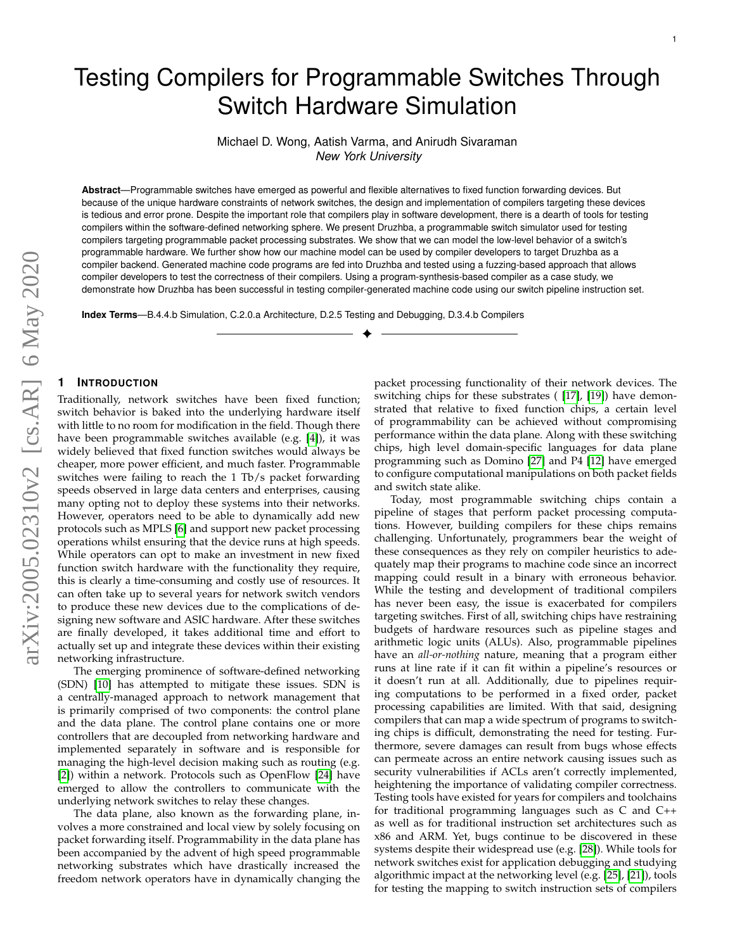# Testing Compilers for Programmable Switches Through Switch Hardware Simulation

Michael D. Wong, Aatish Varma, and Anirudh Sivaraman *New York University*

**Abstract**—Programmable switches have emerged as powerful and flexible alternatives to fixed function forwarding devices. But because of the unique hardware constraints of network switches, the design and implementation of compilers targeting these devices is tedious and error prone. Despite the important role that compilers play in software development, there is a dearth of tools for testing compilers within the software-defined networking sphere. We present Druzhba, a programmable switch simulator used for testing compilers targeting programmable packet processing substrates. We show that we can model the low-level behavior of a switch's programmable hardware. We further show how our machine model can be used by compiler developers to target Druzhba as a compiler backend. Generated machine code programs are fed into Druzhba and tested using a fuzzing-based approach that allows compiler developers to test the correctness of their compilers. Using a program-synthesis-based compiler as a case study, we demonstrate how Druzhba has been successful in testing compiler-generated machine code using our switch pipeline instruction set.

✦

**Index Terms**—B.4.4.b Simulation, C.2.0.a Architecture, D.2.5 Testing and Debugging, D.3.4.b Compilers

# **1 INTRODUCTION**

Traditionally, network switches have been fixed function; switch behavior is baked into the underlying hardware itself with little to no room for modification in the field. Though there have been programmable switches available (e.g. [\[4\]](#page-7-0)), it was widely believed that fixed function switches would always be cheaper, more power efficient, and much faster. Programmable switches were failing to reach the 1 Tb/s packet forwarding speeds observed in large data centers and enterprises, causing many opting not to deploy these systems into their networks. However, operators need to be able to dynamically add new protocols such as MPLS [\[6\]](#page-7-1) and support new packet processing operations whilst ensuring that the device runs at high speeds. While operators can opt to make an investment in new fixed function switch hardware with the functionality they require, this is clearly a time-consuming and costly use of resources. It can often take up to several years for network switch vendors to produce these new devices due to the complications of designing new software and ASIC hardware. After these switches are finally developed, it takes additional time and effort to actually set up and integrate these devices within their existing networking infrastructure.

The emerging prominence of software-defined networking (SDN) [\[10\]](#page-7-2) has attempted to mitigate these issues. SDN is a centrally-managed approach to network management that is primarily comprised of two components: the control plane and the data plane. The control plane contains one or more controllers that are decoupled from networking hardware and implemented separately in software and is responsible for managing the high-level decision making such as routing (e.g. [\[2\]](#page-7-3)) within a network. Protocols such as OpenFlow [\[24\]](#page-7-4) have emerged to allow the controllers to communicate with the underlying network switches to relay these changes.

The data plane, also known as the forwarding plane, involves a more constrained and local view by solely focusing on packet forwarding itself. Programmability in the data plane has been accompanied by the advent of high speed programmable networking substrates which have drastically increased the freedom network operators have in dynamically changing the

packet processing functionality of their network devices. The switching chips for these substrates ( [\[17\]](#page-7-5), [\[19\]](#page-7-6)) have demonstrated that relative to fixed function chips, a certain level of programmability can be achieved without compromising performance within the data plane. Along with these switching chips, high level domain-specific languages for data plane programming such as Domino [\[27\]](#page-7-7) and P4 [\[12\]](#page-7-8) have emerged to configure computational manipulations on both packet fields and switch state alike.

1

Today, most programmable switching chips contain a pipeline of stages that perform packet processing computations. However, building compilers for these chips remains challenging. Unfortunately, programmers bear the weight of these consequences as they rely on compiler heuristics to adequately map their programs to machine code since an incorrect mapping could result in a binary with erroneous behavior. While the testing and development of traditional compilers has never been easy, the issue is exacerbated for compilers targeting switches. First of all, switching chips have restraining budgets of hardware resources such as pipeline stages and arithmetic logic units (ALUs). Also, programmable pipelines have an *all-or-nothing* nature, meaning that a program either runs at line rate if it can fit within a pipeline's resources or it doesn't run at all. Additionally, due to pipelines requiring computations to be performed in a fixed order, packet processing capabilities are limited. With that said, designing compilers that can map a wide spectrum of programs to switching chips is difficult, demonstrating the need for testing. Furthermore, severe damages can result from bugs whose effects can permeate across an entire network causing issues such as security vulnerabilities if ACLs aren't correctly implemented, heightening the importance of validating compiler correctness. Testing tools have existed for years for compilers and toolchains for traditional programming languages such as C and C++ as well as for traditional instruction set architectures such as x86 and ARM. Yet, bugs continue to be discovered in these systems despite their widespread use (e.g. [\[28\]](#page-7-9)). While tools for network switches exist for application debugging and studying algorithmic impact at the networking level (e.g. [\[25\]](#page-7-10), [\[21\]](#page-7-11)), tools for testing the mapping to switch instruction sets of compilers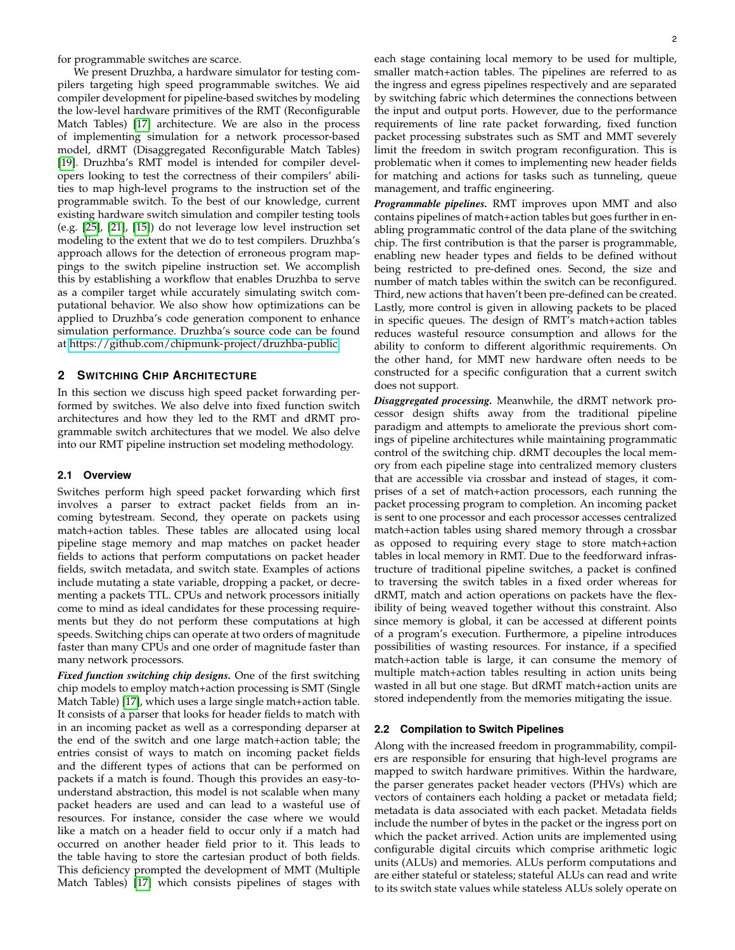for programmable switches are scarce.

We present Druzhba, a hardware simulator for testing compilers targeting high speed programmable switches. We aid compiler development for pipeline-based switches by modeling the low-level hardware primitives of the RMT (Reconfigurable Match Tables) [\[17\]](#page-7-5) architecture. We are also in the process of implementing simulation for a network processor-based model, dRMT (Disaggregated Reconfigurable Match Tables) [\[19\]](#page-7-6). Druzhba's RMT model is intended for compiler developers looking to test the correctness of their compilers' abilities to map high-level programs to the instruction set of the programmable switch. To the best of our knowledge, current existing hardware switch simulation and compiler testing tools (e.g. [\[25\]](#page-7-10), [\[21\]](#page-7-11), [\[15\]](#page-7-12)) do not leverage low level instruction set modeling to the extent that we do to test compilers. Druzhba's approach allows for the detection of erroneous program mappings to the switch pipeline instruction set. We accomplish this by establishing a workflow that enables Druzhba to serve as a compiler target while accurately simulating switch computational behavior. We also show how optimizations can be applied to Druzhba's code generation component to enhance simulation performance. Druzhba's source code can be found at [https://github.com/chipmunk-project/druzhba-public.](https://github.com/chipmunk-project/druzhba-public)

# **2 SWITCHING CHIP ARCHITECTURE**

In this section we discuss high speed packet forwarding performed by switches. We also delve into fixed function switch architectures and how they led to the RMT and dRMT programmable switch architectures that we model. We also delve into our RMT pipeline instruction set modeling methodology.

# **2.1 Overview**

Switches perform high speed packet forwarding which first involves a parser to extract packet fields from an incoming bytestream. Second, they operate on packets using match+action tables. These tables are allocated using local pipeline stage memory and map matches on packet header fields to actions that perform computations on packet header fields, switch metadata, and switch state. Examples of actions include mutating a state variable, dropping a packet, or decrementing a packets TTL. CPUs and network processors initially come to mind as ideal candidates for these processing requirements but they do not perform these computations at high speeds. Switching chips can operate at two orders of magnitude faster than many CPUs and one order of magnitude faster than many network processors.

*Fixed function switching chip designs.* One of the first switching chip models to employ match+action processing is SMT (Single Match Table) [\[17\]](#page-7-5), which uses a large single match+action table. It consists of a parser that looks for header fields to match with in an incoming packet as well as a corresponding deparser at the end of the switch and one large match+action table; the entries consist of ways to match on incoming packet fields and the different types of actions that can be performed on packets if a match is found. Though this provides an easy-tounderstand abstraction, this model is not scalable when many packet headers are used and can lead to a wasteful use of resources. For instance, consider the case where we would like a match on a header field to occur only if a match had occurred on another header field prior to it. This leads to the table having to store the cartesian product of both fields. This deficiency prompted the development of MMT (Multiple Match Tables) [\[17\]](#page-7-5) which consists pipelines of stages with

each stage containing local memory to be used for multiple, smaller match+action tables. The pipelines are referred to as the ingress and egress pipelines respectively and are separated by switching fabric which determines the connections between the input and output ports. However, due to the performance requirements of line rate packet forwarding, fixed function packet processing substrates such as SMT and MMT severely limit the freedom in switch program reconfiguration. This is problematic when it comes to implementing new header fields for matching and actions for tasks such as tunneling, queue management, and traffic engineering.

*Programmable pipelines.* RMT improves upon MMT and also contains pipelines of match+action tables but goes further in enabling programmatic control of the data plane of the switching chip. The first contribution is that the parser is programmable, enabling new header types and fields to be defined without being restricted to pre-defined ones. Second, the size and number of match tables within the switch can be reconfigured. Third, new actions that haven't been pre-defined can be created. Lastly, more control is given in allowing packets to be placed in specific queues. The design of RMT's match+action tables reduces wasteful resource consumption and allows for the ability to conform to different algorithmic requirements. On the other hand, for MMT new hardware often needs to be constructed for a specific configuration that a current switch does not support.

*Disaggregated processing.* Meanwhile, the dRMT network processor design shifts away from the traditional pipeline paradigm and attempts to ameliorate the previous short comings of pipeline architectures while maintaining programmatic control of the switching chip. dRMT decouples the local memory from each pipeline stage into centralized memory clusters that are accessible via crossbar and instead of stages, it comprises of a set of match+action processors, each running the packet processing program to completion. An incoming packet is sent to one processor and each processor accesses centralized match+action tables using shared memory through a crossbar as opposed to requiring every stage to store match+action tables in local memory in RMT. Due to the feedforward infrastructure of traditional pipeline switches, a packet is confined to traversing the switch tables in a fixed order whereas for dRMT, match and action operations on packets have the flexibility of being weaved together without this constraint. Also since memory is global, it can be accessed at different points of a program's execution. Furthermore, a pipeline introduces possibilities of wasting resources. For instance, if a specified match+action table is large, it can consume the memory of multiple match+action tables resulting in action units being wasted in all but one stage. But dRMT match+action units are stored independently from the memories mitigating the issue.

### **2.2 Compilation to Switch Pipelines**

Along with the increased freedom in programmability, compilers are responsible for ensuring that high-level programs are mapped to switch hardware primitives. Within the hardware, the parser generates packet header vectors (PHVs) which are vectors of containers each holding a packet or metadata field; metadata is data associated with each packet. Metadata fields include the number of bytes in the packet or the ingress port on which the packet arrived. Action units are implemented using configurable digital circuits which comprise arithmetic logic units (ALUs) and memories. ALUs perform computations and are either stateful or stateless; stateful ALUs can read and write to its switch state values while stateless ALUs solely operate on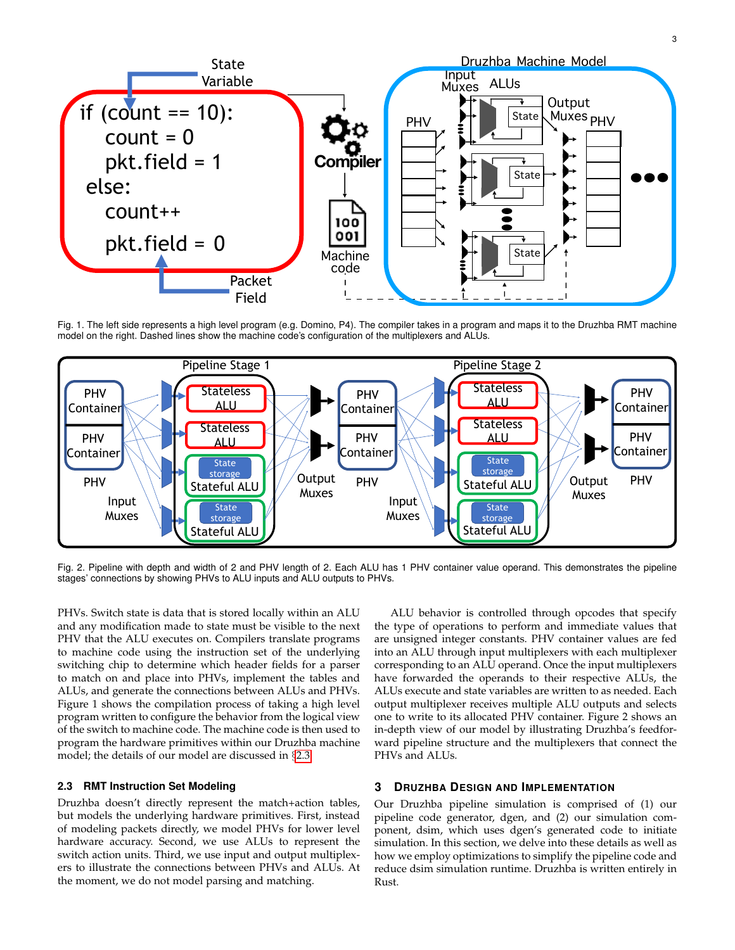

Fig. 1. The left side represents a high level program (e.g. Domino, P4). The compiler takes in a program and maps it to the Druzhba RMT machine model on the right. Dashed lines show the machine code's configuration of the multiplexers and ALUs.



Fig. 2. Pipeline with depth and width of 2 and PHV length of 2. Each ALU has 1 PHV container value operand. This demonstrates the pipeline stages' connections by showing PHVs to ALU inputs and ALU outputs to PHVs.

PHVs. Switch state is data that is stored locally within an ALU and any modification made to state must be visible to the next PHV that the ALU executes on. Compilers translate programs to machine code using the instruction set of the underlying switching chip to determine which header fields for a parser to match on and place into PHVs, implement the tables and ALUs, and generate the connections between ALUs and PHVs. Figure 1 shows the compilation process of taking a high level program written to configure the behavior from the logical view of the switch to machine code. The machine code is then used to program the hardware primitives within our Druzhba machine model; the details of our model are discussed in §[2.3](#page-2-0)

# <span id="page-2-0"></span>**2.3 RMT Instruction Set Modeling**

Druzhba doesn't directly represent the match+action tables, but models the underlying hardware primitives. First, instead of modeling packets directly, we model PHVs for lower level hardware accuracy. Second, we use ALUs to represent the switch action units. Third, we use input and output multiplexers to illustrate the connections between PHVs and ALUs. At the moment, we do not model parsing and matching.

ALU behavior is controlled through opcodes that specify the type of operations to perform and immediate values that are unsigned integer constants. PHV container values are fed into an ALU through input multiplexers with each multiplexer corresponding to an ALU operand. Once the input multiplexers have forwarded the operands to their respective ALUs, the ALUs execute and state variables are written to as needed. Each output multiplexer receives multiple ALU outputs and selects one to write to its allocated PHV container. Figure 2 shows an in-depth view of our model by illustrating Druzhba's feedforward pipeline structure and the multiplexers that connect the PHVs and ALUs.

# **3 DRUZHBA DESIGN AND IMPLEMENTATION**

Our Druzhba pipeline simulation is comprised of (1) our pipeline code generator, dgen, and (2) our simulation component, dsim, which uses dgen's generated code to initiate simulation. In this section, we delve into these details as well as how we employ optimizations to simplify the pipeline code and reduce dsim simulation runtime. Druzhba is written entirely in Rust.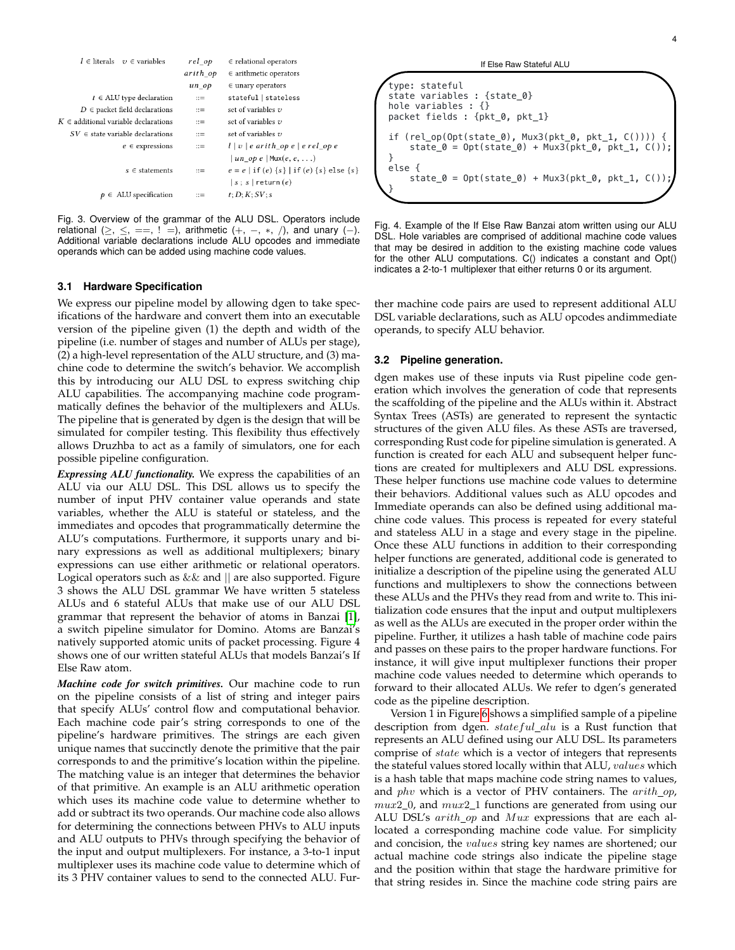| $l \in$ literals $v \in$ variables       | $rel\_op$             | $\in$ relational operators                                         |  |  |
|------------------------------------------|-----------------------|--------------------------------------------------------------------|--|--|
|                                          | arith op              | $\in$ arithmetic operators                                         |  |  |
|                                          | $un$ $op$             | $\in$ unary operators                                              |  |  |
| $t \in$ ALU type declaration             | $\mathbb{R}^2$        | stateful   stateless                                               |  |  |
| $D \in$ packet field declarations        | $::=$                 | set of variables $v$                                               |  |  |
| $K \in$ additional variable declarations | $\mathbf{r} =$        | set of variables $v$                                               |  |  |
| $SV \in$ state variable declarations     | $\mathbf{r} =$        | set of variables $v$                                               |  |  |
| $e \in$ expressions                      | $\mathrel{\mathop:}=$ | $l \mid v \mid e \text{ arith\_op } e \mid e \text{ rel\_op } e$   |  |  |
|                                          |                       | un op e   Mux $(e, e, \ldots)$                                     |  |  |
| $s \in$ statements                       | $\mathbf{r} =$        | $e = e   \text{if} (e) \{s\}   \text{if} (e) \{s\} \text{else} \}$ |  |  |
|                                          |                       | $ s; s $ return $(e)$                                              |  |  |
| $\in$ ALU specification                  | $\mathbb{R}^n$        | t: D: K: SV: s                                                     |  |  |
|                                          |                       |                                                                    |  |  |

Fig. 3. Overview of the grammar of the ALU DSL. Operators include relational  $(\geq, \leq, ==, ! =)$ , arithmetic  $(+, -, *, /)$ , and unary  $(-)$ . Additional variable declarations include ALU opcodes and immediate operands which can be added using machine code values.

#### **3.1 Hardware Specification**

We express our pipeline model by allowing dgen to take specifications of the hardware and convert them into an executable version of the pipeline given (1) the depth and width of the pipeline (i.e. number of stages and number of ALUs per stage), (2) a high-level representation of the ALU structure, and (3) machine code to determine the switch's behavior. We accomplish this by introducing our ALU DSL to express switching chip ALU capabilities. The accompanying machine code programmatically defines the behavior of the multiplexers and ALUs. The pipeline that is generated by dgen is the design that will be simulated for compiler testing. This flexibility thus effectively allows Druzhba to act as a family of simulators, one for each possible pipeline configuration.

*Expressing ALU functionality.* We express the capabilities of an ALU via our ALU DSL. This DSL allows us to specify the number of input PHV container value operands and state variables, whether the ALU is stateful or stateless, and the immediates and opcodes that programmatically determine the ALU's computations. Furthermore, it supports unary and binary expressions as well as additional multiplexers; binary expressions can use either arithmetic or relational operators. Logical operators such as  $&&$  and  $\parallel$  are also supported. Figure 3 shows the ALU DSL grammar We have written 5 stateless ALUs and 6 stateful ALUs that make use of our ALU DSL grammar that represent the behavior of atoms in Banzai [\[1\]](#page-7-13), a switch pipeline simulator for Domino. Atoms are Banzai's natively supported atomic units of packet processing. Figure 4 shows one of our written stateful ALUs that models Banzai's If Else Raw atom.

*Machine code for switch primitives.* Our machine code to run on the pipeline consists of a list of string and integer pairs that specify ALUs' control flow and computational behavior. Each machine code pair's string corresponds to one of the pipeline's hardware primitives. The strings are each given unique names that succinctly denote the primitive that the pair corresponds to and the primitive's location within the pipeline. The matching value is an integer that determines the behavior of that primitive. An example is an ALU arithmetic operation which uses its machine code value to determine whether to add or subtract its two operands. Our machine code also allows for determining the connections between PHVs to ALU inputs and ALU outputs to PHVs through specifying the behavior of the input and output multiplexers. For instance, a 3-to-1 input multiplexer uses its machine code value to determine which of its 3 PHV container values to send to the connected ALU. Fur-

# type: stateful state variables : {state\_0} hole variables : {} packet fields : {pkt\_0, pkt\_1} if (rel\_op(Opt(state\_0), Mux3(pkt\_0, pkt\_1, C()))) {  $state_0 = 0pt(state_0) + Mux3(plt_0, plt_1, C())$ ; } else { state\_0 =  $0pt(state_0)$  +  $Mux3(plt_0, plt_1, C())$ } If Else Raw Stateful ALU

Fig. 4. Example of the If Else Raw Banzai atom written using our ALU DSL. Hole variables are comprised of additional machine code values that may be desired in addition to the existing machine code values for the other ALU computations. C() indicates a constant and Opt() indicates a 2-to-1 multiplexer that either returns 0 or its argument.

ther machine code pairs are used to represent additional ALU DSL variable declarations, such as ALU opcodes andimmediate operands, to specify ALU behavior.

### **3.2 Pipeline generation.**

dgen makes use of these inputs via Rust pipeline code generation which involves the generation of code that represents the scaffolding of the pipeline and the ALUs within it. Abstract Syntax Trees (ASTs) are generated to represent the syntactic structures of the given ALU files. As these ASTs are traversed, corresponding Rust code for pipeline simulation is generated. A function is created for each ALU and subsequent helper functions are created for multiplexers and ALU DSL expressions. These helper functions use machine code values to determine their behaviors. Additional values such as ALU opcodes and Immediate operands can also be defined using additional machine code values. This process is repeated for every stateful and stateless ALU in a stage and every stage in the pipeline. Once these ALU functions in addition to their corresponding helper functions are generated, additional code is generated to initialize a description of the pipeline using the generated ALU functions and multiplexers to show the connections between these ALUs and the PHVs they read from and write to. This initialization code ensures that the input and output multiplexers as well as the ALUs are executed in the proper order within the pipeline. Further, it utilizes a hash table of machine code pairs and passes on these pairs to the proper hardware functions. For instance, it will give input multiplexer functions their proper machine code values needed to determine which operands to forward to their allocated ALUs. We refer to dgen's generated code as the pipeline description.

Version 1 in Figure [6](#page-5-0) shows a simplified sample of a pipeline description from dgen.  $stateful\_alu$  is a Rust function that represents an ALU defined using our ALU DSL. Its parameters comprise of state which is a vector of integers that represents the stateful values stored locally within that ALU, values which is a hash table that maps machine code string names to values, and *phv* which is a vector of PHV containers. The  $arith\_op$ ,  $mux2_0$ , and  $mux2_1$  functions are generated from using our ALU DSL's arith\_op and Mux expressions that are each allocated a corresponding machine code value. For simplicity and concision, the *values* string key names are shortened; our actual machine code strings also indicate the pipeline stage and the position within that stage the hardware primitive for that string resides in. Since the machine code string pairs are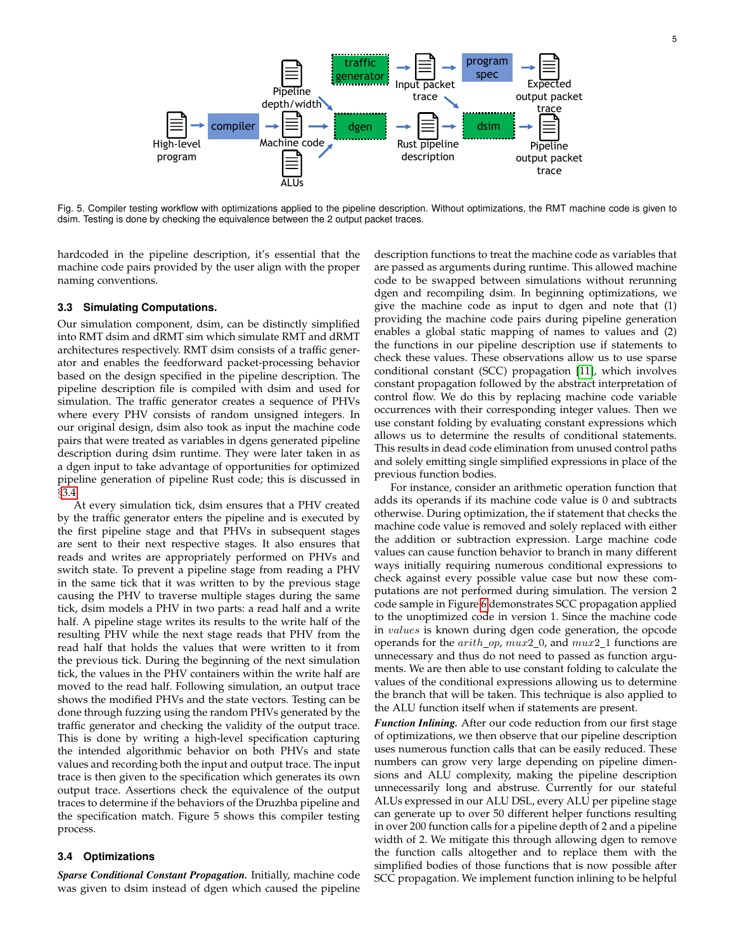

Fig. 5. Compiler testing workflow with optimizations applied to the pipeline description. Without optimizations, the RMT machine code is given to dsim. Testing is done by checking the equivalence between the 2 output packet traces.

hardcoded in the pipeline description, it's essential that the machine code pairs provided by the user align with the proper naming conventions.

#### **3.3 Simulating Computations.**

Our simulation component, dsim, can be distinctly simplified into RMT dsim and dRMT sim which simulate RMT and dRMT architectures respectively. RMT dsim consists of a traffic generator and enables the feedforward packet-processing behavior based on the design specified in the pipeline description. The pipeline description file is compiled with dsim and used for simulation. The traffic generator creates a sequence of PHVs where every PHV consists of random unsigned integers. In our original design, dsim also took as input the machine code pairs that were treated as variables in dgens generated pipeline description during dsim runtime. They were later taken in as a dgen input to take advantage of opportunities for optimized pipeline generation of pipeline Rust code; this is discussed in §[3.4.](#page-4-0)

At every simulation tick, dsim ensures that a PHV created by the traffic generator enters the pipeline and is executed by the first pipeline stage and that PHVs in subsequent stages are sent to their next respective stages. It also ensures that reads and writes are appropriately performed on PHVs and switch state. To prevent a pipeline stage from reading a PHV in the same tick that it was written to by the previous stage causing the PHV to traverse multiple stages during the same tick, dsim models a PHV in two parts: a read half and a write half. A pipeline stage writes its results to the write half of the resulting PHV while the next stage reads that PHV from the read half that holds the values that were written to it from the previous tick. During the beginning of the next simulation tick, the values in the PHV containers within the write half are moved to the read half. Following simulation, an output trace shows the modified PHVs and the state vectors. Testing can be done through fuzzing using the random PHVs generated by the traffic generator and checking the validity of the output trace. This is done by writing a high-level specification capturing the intended algorithmic behavior on both PHVs and state values and recording both the input and output trace. The input trace is then given to the specification which generates its own output trace. Assertions check the equivalence of the output traces to determine if the behaviors of the Druzhba pipeline and the specification match. Figure 5 shows this compiler testing process.

# <span id="page-4-0"></span>**3.4 Optimizations**

*Sparse Conditional Constant Propagation.* Initially, machine code was given to dsim instead of dgen which caused the pipeline description functions to treat the machine code as variables that are passed as arguments during runtime. This allowed machine code to be swapped between simulations without rerunning dgen and recompiling dsim. In beginning optimizations, we give the machine code as input to dgen and note that (1) providing the machine code pairs during pipeline generation enables a global static mapping of names to values and (2) the functions in our pipeline description use if statements to check these values. These observations allow us to use sparse conditional constant (SCC) propagation [\[11\]](#page-7-14), which involves constant propagation followed by the abstract interpretation of control flow. We do this by replacing machine code variable occurrences with their corresponding integer values. Then we use constant folding by evaluating constant expressions which allows us to determine the results of conditional statements. This results in dead code elimination from unused control paths and solely emitting single simplified expressions in place of the previous function bodies.

For instance, consider an arithmetic operation function that adds its operands if its machine code value is 0 and subtracts otherwise. During optimization, the if statement that checks the machine code value is removed and solely replaced with either the addition or subtraction expression. Large machine code values can cause function behavior to branch in many different ways initially requiring numerous conditional expressions to check against every possible value case but now these computations are not performed during simulation. The version 2 code sample in Figure [6](#page-5-0) demonstrates SCC propagation applied to the unoptimized code in version 1. Since the machine code in values is known during dgen code generation, the opcode operands for the  $arith\_op, mux2_0$ , and  $mux2_1$  functions are unnecessary and thus do not need to passed as function arguments. We are then able to use constant folding to calculate the values of the conditional expressions allowing us to determine the branch that will be taken. This technique is also applied to the ALU function itself when if statements are present.

*Function Inlining.* After our code reduction from our first stage of optimizations, we then observe that our pipeline description uses numerous function calls that can be easily reduced. These numbers can grow very large depending on pipeline dimensions and ALU complexity, making the pipeline description unnecessarily long and abstruse. Currently for our stateful ALUs expressed in our ALU DSL, every ALU per pipeline stage can generate up to over 50 different helper functions resulting in over 200 function calls for a pipeline depth of 2 and a pipeline width of 2. We mitigate this through allowing dgen to remove the function calls altogether and to replace them with the simplified bodies of those functions that is now possible after SCC propagation. We implement function inlining to be helpful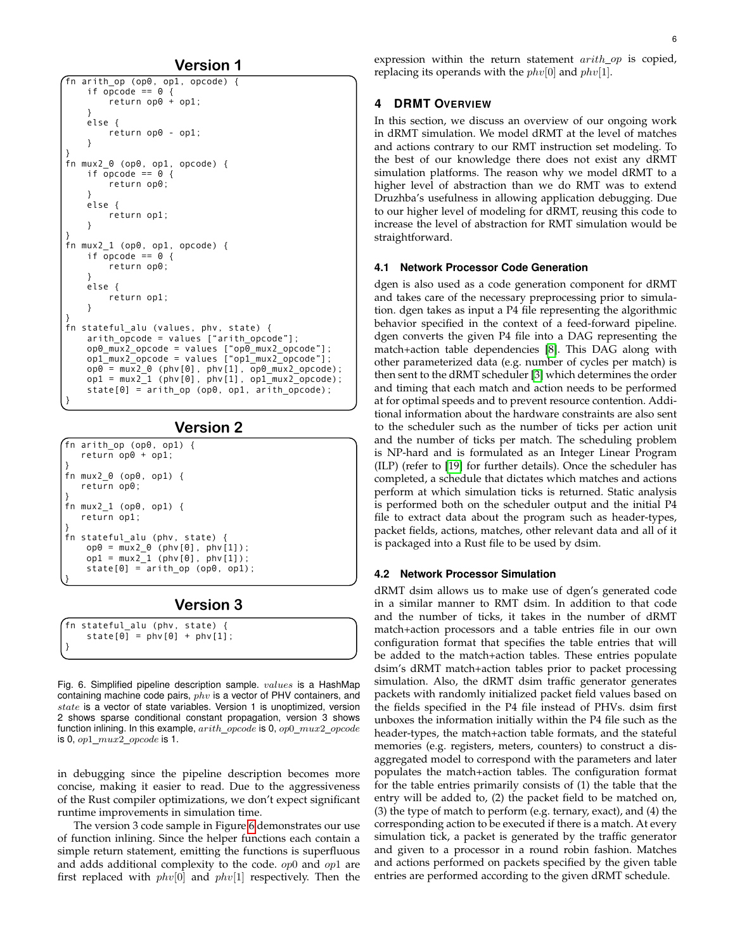**Version 1**

```
fn arith_op (op0, op1, opcode) { 
    if opcode == 0 {
          return op0 + op1; 
     } 
     else { 
          return op0 - op1; 
     } 
} 
\overline{f}n mux2 \theta (op\theta, op1, opcode) {
    if \overline{opcode} == 0 {
          return op0; 
 } 
     else { 
          return op1; 
 } 
} 
fn mux2_1 (op0, op1, opcode) { 
    if \overline{opcode} == 0 {
          return op0; 
 } 
     else { 
          return op1; 
 } 
} 
fn stateful_alu (values, phv, state) { 
    arith opcode = values ["arith opcode"];
 op0_mux2_opcode = values ["op0_mux2_opcode"]; 
 op1_mux2_opcode = values ["op1_mux2_opcode"]; 
 op0 = mux2_0 (phv[0], phv[1], op0_mux2_opcode); 
 op1 = mux2_1 (phv[0], phv[1], op1_mux2_opcode); 
     state[0] = arith_op (op0, op1, arith_opcode); 
}
```
# **Version 2**

```
fn arith_op (op0, op1) { 
    return op0 + op1; 
} 
fn mux2_0 (op0, op1) { 
    return op0; 
} 
fn mux2_1 (op0, op1) { 
    return op1; 
} 
fn stateful_alu (phv, state) { 
    opp0 = mux2_0 (phy[0], phy[1]);pp1 = \text{mux2}_1 (phv[0], phv[1]);
    state[0] =arith_op (op0, op1);
}
```
# **Version 3**

fn stateful\_alu (phv, state) { state $[0]$  = phv $[0]$  + phv $[1]$ ; }

<span id="page-5-0"></span>Fig. 6. Simplified pipeline description sample. values is a HashMap containing machine code pairs,  $phv$  is a vector of PHV containers, and  $state$  is a vector of state variables. Version 1 is unoptimized, version 2 shows sparse conditional constant propagation, version 3 shows function inlining. In this example, arith opcode is 0, op0 mux2 opcode is 0,  $op1_mux2\_opcode$  is 1.

in debugging since the pipeline description becomes more concise, making it easier to read. Due to the aggressiveness of the Rust compiler optimizations, we don't expect significant runtime improvements in simulation time.

The version 3 code sample in Figure [6](#page-5-0) demonstrates our use of function inlining. Since the helper functions each contain a simple return statement, emitting the functions is superfluous and adds additional complexity to the code. op0 and op1 are first replaced with  $phv[0]$  and  $phv[1]$  respectively. Then the expression within the return statement  $arith\_op$  is copied, replacing its operands with the  $phv[0]$  and  $phv[1]$ .

# **4 DRMT OVERVIEW**

In this section, we discuss an overview of our ongoing work in dRMT simulation. We model dRMT at the level of matches and actions contrary to our RMT instruction set modeling. To the best of our knowledge there does not exist any dRMT simulation platforms. The reason why we model dRMT to a higher level of abstraction than we do RMT was to extend Druzhba's usefulness in allowing application debugging. Due to our higher level of modeling for dRMT, reusing this code to increase the level of abstraction for RMT simulation would be straightforward.

### **4.1 Network Processor Code Generation**

dgen is also used as a code generation component for dRMT and takes care of the necessary preprocessing prior to simulation. dgen takes as input a P4 file representing the algorithmic behavior specified in the context of a feed-forward pipeline. dgen converts the given P4 file into a DAG representing the match+action table dependencies [\[8\]](#page-7-15). This DAG along with other parameterized data (e.g. number of cycles per match) is then sent to the dRMT scheduler [\[3\]](#page-7-16) which determines the order and timing that each match and action needs to be performed at for optimal speeds and to prevent resource contention. Additional information about the hardware constraints are also sent to the scheduler such as the number of ticks per action unit and the number of ticks per match. The scheduling problem is NP-hard and is formulated as an Integer Linear Program (ILP) (refer to [\[19\]](#page-7-6) for further details). Once the scheduler has completed, a schedule that dictates which matches and actions perform at which simulation ticks is returned. Static analysis is performed both on the scheduler output and the initial P4 file to extract data about the program such as header-types, packet fields, actions, matches, other relevant data and all of it is packaged into a Rust file to be used by dsim.

# **4.2 Network Processor Simulation**

dRMT dsim allows us to make use of dgen's generated code in a similar manner to RMT dsim. In addition to that code and the number of ticks, it takes in the number of dRMT match+action processors and a table entries file in our own configuration format that specifies the table entries that will be added to the match+action tables. These entries populate dsim's dRMT match+action tables prior to packet processing simulation. Also, the dRMT dsim traffic generator generates packets with randomly initialized packet field values based on the fields specified in the P4 file instead of PHVs. dsim first unboxes the information initially within the P4 file such as the header-types, the match+action table formats, and the stateful memories (e.g. registers, meters, counters) to construct a disaggregated model to correspond with the parameters and later populates the match+action tables. The configuration format for the table entries primarily consists of (1) the table that the entry will be added to, (2) the packet field to be matched on, (3) the type of match to perform (e.g. ternary, exact), and (4) the corresponding action to be executed if there is a match. At every simulation tick, a packet is generated by the traffic generator and given to a processor in a round robin fashion. Matches and actions performed on packets specified by the given table entries are performed according to the given dRMT schedule.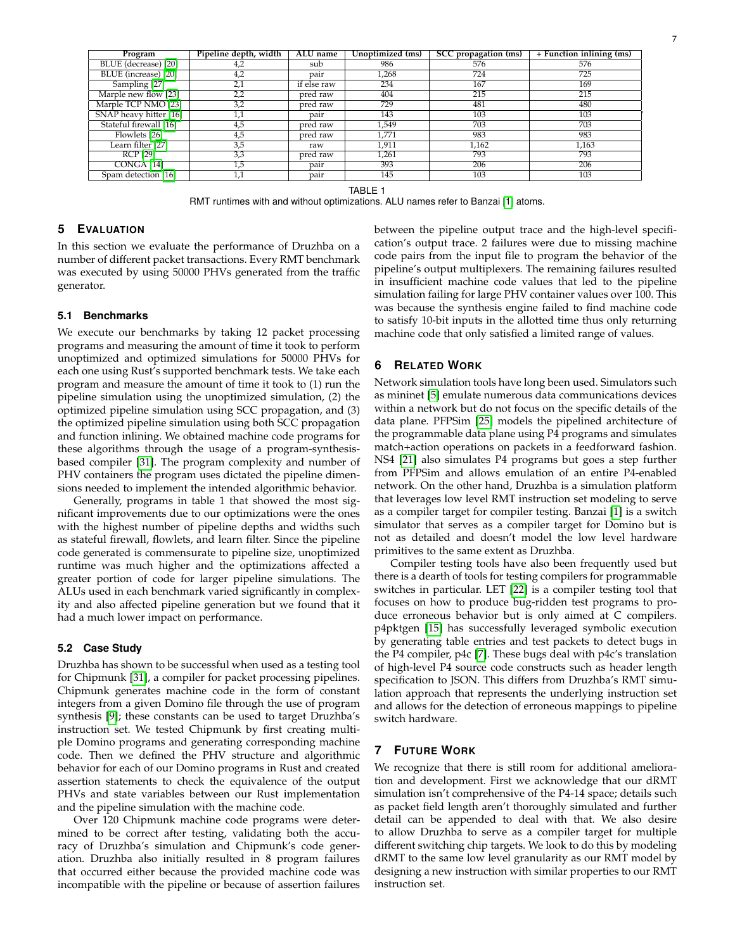| lining (ms) |
|-------------|
|             |

7

| Program                | Pipeline depth, width | ALU name    | Unoptimized (ms) | SCC propagation (ms) | + Function inlining (ms) |
|------------------------|-----------------------|-------------|------------------|----------------------|--------------------------|
| BLUE (decrease) [20]   | 4,2                   | sub         | 986              | 576                  | 576                      |
| BLUE (increase) [20]   | 4,2                   | pair        | 1,268            | 724                  | 725                      |
| Sampling [27]          | 2,1                   | if else raw | 234              | 167                  | 169                      |
| Marple new flow [23]   | 2,2                   | pred raw    | 404              | 215                  | 215                      |
| Marple TCP NMO [23]    | 3,2                   | pred raw    | 729              | 481                  | 480                      |
| SNAP heavy hitter [16] | 1,1                   | pair        | 143              | 103                  | 103                      |
| Stateful firewall [16] | 4,5                   | pred raw    | 1,549            | 703                  | 703                      |
| Flowlets [26]          | 4,5                   | pred raw    | 1,771            | 983                  | 983                      |
| Learn filter [27]      | 3,5                   | raw         | 1,911            | 1,162                | 1.163                    |
| RCP [29]               | 3,3                   | pred raw    | 1,261            | 793                  | 793                      |
| CONGA [14]             | 1,5                   | pair        | 393              | 206                  | 206                      |
| Spam detection [16]    | 1,1                   | pair        | 145              | 103                  | 103                      |

TABLE 1

RMT runtimes with and without optimizations. ALU names refer to Banzai [\[1\]](#page-7-13) atoms.

# **5 EVALUATION**

In this section we evaluate the performance of Druzhba on a number of different packet transactions. Every RMT benchmark was executed by using 50000 PHVs generated from the traffic generator.

# **5.1 Benchmarks**

We execute our benchmarks by taking 12 packet processing programs and measuring the amount of time it took to perform unoptimized and optimized simulations for 50000 PHVs for each one using Rust's supported benchmark tests. We take each program and measure the amount of time it took to (1) run the pipeline simulation using the unoptimized simulation, (2) the optimized pipeline simulation using SCC propagation, and (3) the optimized pipeline simulation using both SCC propagation and function inlining. We obtained machine code programs for these algorithms through the usage of a program-synthesisbased compiler [\[31\]](#page-7-23). The program complexity and number of PHV containers the program uses dictated the pipeline dimensions needed to implement the intended algorithmic behavior.

Generally, programs in table 1 that showed the most significant improvements due to our optimizations were the ones with the highest number of pipeline depths and widths such as stateful firewall, flowlets, and learn filter. Since the pipeline code generated is commensurate to pipeline size, unoptimized runtime was much higher and the optimizations affected a greater portion of code for larger pipeline simulations. The ALUs used in each benchmark varied significantly in complexity and also affected pipeline generation but we found that it had a much lower impact on performance.

### **5.2 Case Study**

Druzhba has shown to be successful when used as a testing tool for Chipmunk [\[31\]](#page-7-23), a compiler for packet processing pipelines. Chipmunk generates machine code in the form of constant integers from a given Domino file through the use of program synthesis [\[9\]](#page-7-24); these constants can be used to target Druzhba's instruction set. We tested Chipmunk by first creating multiple Domino programs and generating corresponding machine code. Then we defined the PHV structure and algorithmic behavior for each of our Domino programs in Rust and created assertion statements to check the equivalence of the output PHVs and state variables between our Rust implementation and the pipeline simulation with the machine code.

Over 120 Chipmunk machine code programs were determined to be correct after testing, validating both the accuracy of Druzhba's simulation and Chipmunk's code generation. Druzhba also initially resulted in 8 program failures that occurred either because the provided machine code was incompatible with the pipeline or because of assertion failures between the pipeline output trace and the high-level specification's output trace. 2 failures were due to missing machine code pairs from the input file to program the behavior of the pipeline's output multiplexers. The remaining failures resulted in insufficient machine code values that led to the pipeline simulation failing for large PHV container values over 100. This was because the synthesis engine failed to find machine code to satisfy 10-bit inputs in the allotted time thus only returning machine code that only satisfied a limited range of values.

# **6 RELATED WORK**

Network simulation tools have long been used. Simulators such as mininet [\[5\]](#page-7-25) emulate numerous data communications devices within a network but do not focus on the specific details of the data plane. PFPSim [\[25\]](#page-7-10) models the pipelined architecture of the programmable data plane using P4 programs and simulates match+action operations on packets in a feedforward fashion. NS4 [\[21\]](#page-7-11) also simulates P4 programs but goes a step further from PFPSim and allows emulation of an entire P4-enabled network. On the other hand, Druzhba is a simulation platform that leverages low level RMT instruction set modeling to serve as a compiler target for compiler testing. Banzai [\[1\]](#page-7-13) is a switch simulator that serves as a compiler target for Domino but is not as detailed and doesn't model the low level hardware primitives to the same extent as Druzhba.

Compiler testing tools have also been frequently used but there is a dearth of tools for testing compilers for programmable switches in particular. LET [\[22\]](#page-7-26) is a compiler testing tool that focuses on how to produce bug-ridden test programs to produce erroneous behavior but is only aimed at C compilers. p4pktgen [\[15\]](#page-7-12) has successfully leveraged symbolic execution by generating table entries and test packets to detect bugs in the P4 compiler, p4c [\[7\]](#page-7-27). These bugs deal with p4c's translation of high-level P4 source code constructs such as header length specification to JSON. This differs from Druzhba's RMT simulation approach that represents the underlying instruction set and allows for the detection of erroneous mappings to pipeline switch hardware.

# **7 FUTURE WORK**

We recognize that there is still room for additional amelioration and development. First we acknowledge that our dRMT simulation isn't comprehensive of the P4-14 space; details such as packet field length aren't thoroughly simulated and further detail can be appended to deal with that. We also desire to allow Druzhba to serve as a compiler target for multiple different switching chip targets. We look to do this by modeling dRMT to the same low level granularity as our RMT model by designing a new instruction with similar properties to our RMT instruction set.